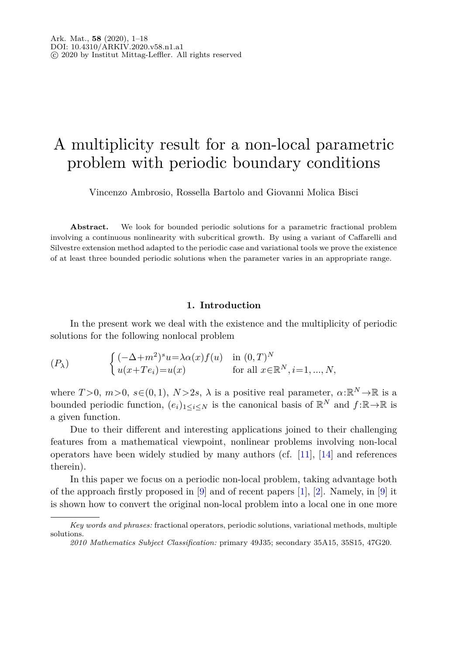## A multiplicity result for a non-local parametric problem with periodic boundary conditions

Vincenzo Ambrosio, Rossella Bartolo and Giovanni Molica Bisci

Abstract. We look for bounded periodic solutions for a parametric fractional problem involving a continuous nonlinearity with subcritical growth. By using a variant of Caffarelli and Silvestre extension method adapted to the periodic case and variational tools we prove the existence of at least three bounded periodic solutions when the parameter varies in an appropriate range.

### <span id="page-0-0"></span>**1. Introduction**

<span id="page-0-1"></span>In the present work we deal with the existence and the multiplicity of periodic solutions for the following nonlocal problem

$$
(P_{\lambda}) \qquad \begin{cases} (-\Delta + m^2)^s u = \lambda \alpha(x) f(u) & \text{in } (0, T)^N \\ u(x + Te_i) = u(x) & \text{for all } x \in \mathbb{R}^N, i = 1, ..., N, \end{cases}
$$

where  $T > 0$ ,  $m > 0$ ,  $s \in (0, 1)$ ,  $N > 2s$ ,  $\lambda$  is a positive real parameter,  $\alpha : \mathbb{R}^N \to \mathbb{R}$  is a bounded periodic function,  $(e_i)_{1\leq i\leq N}$  is the canonical basis of  $\mathbb{R}^N$  and  $f:\mathbb{R}\to\mathbb{R}$  is a given function.

Due to their different and interesting applications joined to their challenging features from a mathematical viewpoint, nonlinear problems involving non-local operators have been widely studied by many authors (cf.  $[11]$ ,  $[14]$  and references therein).

In this paper we focus on a periodic non-local problem, taking advantage both of the approach firstly proposed in [\[9](#page-16-2)] and of recent papers [\[1\]](#page-16-3), [\[2\]](#page-16-4). Namely, in [9] it is shown how to convert the original non-local problem into a local one in one more

*Key words and phrases:* fractional operators, periodic solutions, variational methods, multiple solutions.

*<sup>2010</sup> Mathematics Subject Classification:* primary 49J35; secondary 35A15, 35S15, 47G20.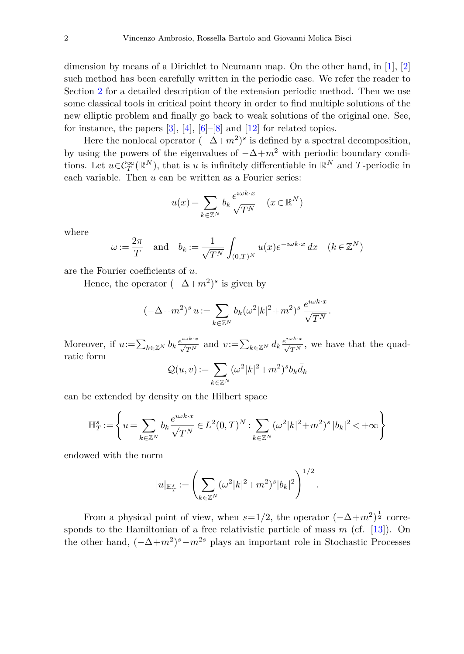dimension by means of a Dirichlet to Neumann map. On the other hand, in [\[1](#page-16-3)], [\[2\]](#page-16-4) such method has been carefully written in the periodic case. We refer the reader to Section [2](#page-3-0) for a detailed description of the extension periodic method. Then we use some classical tools in critical point theory in order to find multiple solutions of the new elliptic problem and finally go back to weak solutions of the original one. See, for instance, the papers  $[3]$  $[3]$ ,  $[4]$ ,  $[6]-[8]$  $[6]-[8]$  $[6]-[8]$  and  $[12]$  $[12]$  for related topics.

Here the nonlocal operator  $(-\Delta+m^2)^s$  is defined by a spectral decomposition, by using the powers of the eigenvalues of  $-\Delta+m^2$  with periodic boundary conditions. Let  $u \in C^{\infty}_T(\mathbb{R}^N)$ , that is *u* is infinitely differentiable in  $\mathbb{R}^N$  and *T*-periodic in each variable. Then *u* can be written as a Fourier series:

$$
u(x) = \sum_{k \in \mathbb{Z}^N} b_k \frac{e^{i \omega k \cdot x}}{\sqrt{T^N}} \quad (x \in \mathbb{R}^N)
$$

where

$$
\omega := \frac{2\pi}{T} \quad \text{and} \quad b_k := \frac{1}{\sqrt{T^N}} \int_{(0,T)^N} u(x) e^{-i\omega k \cdot x} dx \quad (k \in \mathbb{Z}^N)
$$

are the Fourier coefficients of *u*.

Hence, the operator  $(-\Delta+m^2)^s$  is given by

$$
(-\Delta+m^2)^s u := \sum_{k\in\mathbb{Z}^N} b_k(\omega^2|k|^2+m^2)^s \frac{e^{i\omega k\cdot x}}{\sqrt{T^N}}.
$$

Moreover, if  $u:=\sum_{k\in\mathbb{Z}^N}b_k\frac{e^{i\omega k\cdot x}}{\sqrt{T^N}}$  and  $v:=\sum_{k\in\mathbb{Z}^N}d_k\frac{e^{i\omega k\cdot x}}{\sqrt{T^N}}$ , we have that the quadratic form

$$
\mathcal{Q}(u,v):=\sum_{k\in\mathbb{Z}^N}(\omega^2|k|^2+m^2)^s b_k\bar{d}_k
$$

can be extended by density on the Hilbert space

$$
\mathbb{H}^s_T:=\left\{u=\sum_{k\in\mathbb{Z}^N}b_k\frac{e^{\imath\omega k\cdot x}}{\sqrt{T^N}}\in L^2(0,T)^N:\sum_{k\in\mathbb{Z}^N}(\omega^2|k|^2+m^2)^s\,|b_k|^2<+\infty\right\}
$$

endowed with the norm

$$
|u|_{\mathbb{H}^s_T} := \left(\sum_{k \in \mathbb{Z}^N} (\omega^2 |k|^2 + m^2)^s |b_k|^2\right)^{1/2}
$$

*.*

From a physical point of view, when  $s=1/2$ , the operator  $(-\Delta+m^2)^{\frac{1}{2}}$  corresponds to the Hamiltonian of a free relativistic particle of mass *m* (cf. [\[13\]](#page-16-10)). On the other hand,  $(-\Delta+m^2)^s-m^{2s}$  plays an important role in Stochastic Processes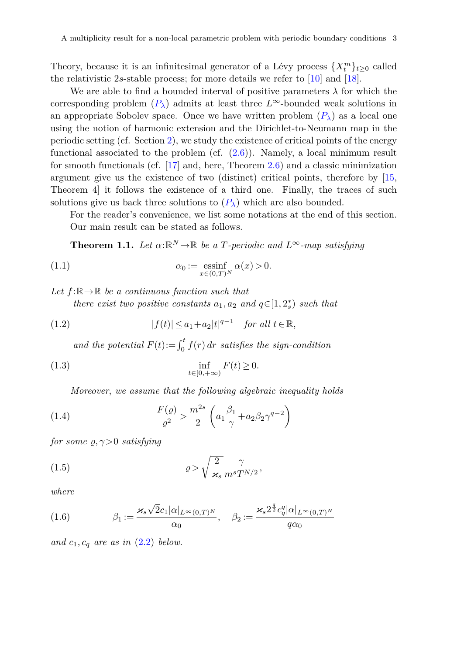Theory, because it is an infinitesimal generator of a Lévy process  $\{X_t^m\}_{t\geq0}$  called the relativistic 2*s*-stable process; for more details we refer to [\[10](#page-16-11)] and [\[18\]](#page-17-0).

We are able to find a bounded interval of positive parameters  $\lambda$  for which the corresponding problem  $(P_\lambda)$  $(P_\lambda)$  $(P_\lambda)$  admits at least three  $L^\infty$ -bounded weak solutions in an appropriate Sobolev space. Once we have written problem  $(P_\lambda)$  $(P_\lambda)$  $(P_\lambda)$  as a local one using the notion of harmonic extension and the Dirichlet-to-Neumann map in the periodic setting (cf. Section [2\)](#page-3-0), we study the existence of critical points of the energy functional associated to the problem (cf. [\(2.6\)](#page-6-0)). Namely, a local minimum result for smooth functionals (cf. [\[17](#page-16-12)] and, here, Theorem [2.6\)](#page-6-1) and a classic minimization argument give us the existence of two (distinct) critical points, therefore by [\[15,](#page-16-13) Theorem 4] it follows the existence of a third one. Finally, the traces of such solutions give us back three solutions to  $(P_\lambda)$  $(P_\lambda)$  $(P_\lambda)$  which are also bounded.

For the reader's convenience, we list some notations at the end of this section. Our main result can be stated as follows.

<span id="page-2-2"></span><span id="page-2-1"></span>**Theorem 1.1.** Let  $\alpha: \mathbb{R}^N \to \mathbb{R}$  be a *T*-periodic and  $L^\infty$ -map satisfying

(1.1) 
$$
\alpha_0 := \operatorname*{essinf}_{x \in (0,T)^N} \alpha(x) > 0.
$$

Let  $f: \mathbb{R} \to \mathbb{R}$  be a continuous function such that

<span id="page-2-0"></span>*there exist two positive constants*  $a_1, a_2$  *and*  $q \in [1, 2_s^*)$  *such that* 

(1.2) 
$$
|f(t)| \le a_1 + a_2 |t|^{q-1} \quad \text{for all } t \in \mathbb{R},
$$

<span id="page-2-6"></span>and the potential  $F(t) := \int_0^t f(r) dr$  satisfies the sign-condition

(1.3) 
$$
\inf_{t \in [0, +\infty)} F(t) \ge 0.
$$

<span id="page-2-5"></span><span id="page-2-4"></span>Moreover, we assume that the following algebraic inequality holds

(1.4) 
$$
\frac{F(\varrho)}{\varrho^2} > \frac{m^{2s}}{2} \left( a_1 \frac{\beta_1}{\gamma} + a_2 \beta_2 \gamma^{q-2} \right)
$$

for some  $\rho, \gamma > 0$  satisfying

(1.5) 
$$
\varrho > \sqrt{\frac{2}{\varkappa_s}} \frac{\gamma}{m^s T^{N/2}},
$$

<span id="page-2-3"></span>where

(1.6) 
$$
\beta_1 := \frac{\varkappa_s \sqrt{2} c_1 |\alpha|_{L^\infty(0,T)^N}}{\alpha_0}, \quad \beta_2 := \frac{\varkappa_s 2^{\frac{q}{2}} c_q^q |\alpha|_{L^\infty(0,T)^N}}{q \alpha_0}
$$

and  $c_1, c_q$  are as in  $(2.2)$  below.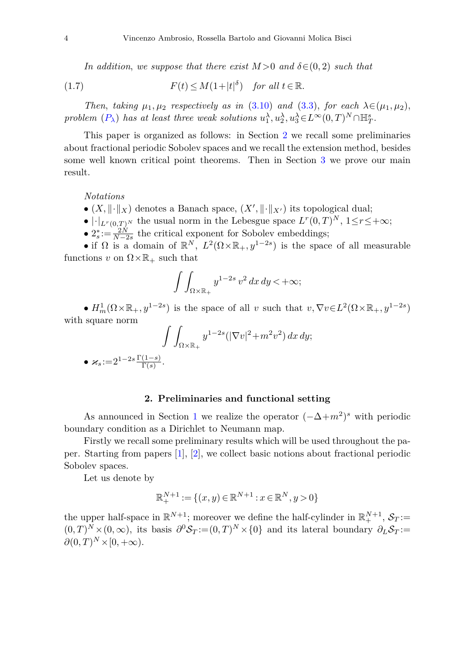<span id="page-3-1"></span>In addition, we suppose that there exist  $M > 0$  and  $\delta \in (0, 2)$  such that

(1.7) 
$$
F(t) \leq M(1+|t|^{\delta}) \quad \text{for all } t \in \mathbb{R}.
$$

Then, taking  $\mu_1, \mu_2$  respectively as in [\(3.10\)](#page-9-0) and [\(3.3\)](#page-8-0), for each  $\lambda \in (\mu_1, \mu_2)$ , problem  $(P_{\lambda})$  $(P_{\lambda})$  $(P_{\lambda})$  has at least three weak solutions  $u_1^{\lambda}, u_2^{\lambda}, u_3^{\lambda} \in L^{\infty}(0, T)^N \cap \mathbb{H}_T^s$ .

This paper is organized as follows: in Section [2](#page-3-0) we recall some preliminaries about fractional periodic Sobolev spaces and we recall the extension method, besides some well known critical point theorems. Then in Section [3](#page-7-0) we prove our main result.

*Notations*

- $(X, \|\cdot\|_X)$  denotes a Banach space,  $(X', \|\cdot\|_{X'})$  its topological dual;
- $|\cdot|_{L^r(0,T)^N}$  the usual norm in the Lebesgue space  $L^r(0,T)^N$ ,  $1 \leq r \leq +\infty$ ;
- $2_s^* := \frac{2N}{N-2s}$  the critical exponent for Sobolev embeddings;

• if  $\Omega$  is a domain of  $\mathbb{R}^N$ ,  $L^2(\Omega \times \mathbb{R}_+, y^{1-2s})$  is the space of all measurable functions *v* on  $\Omega \times \mathbb{R}_+$  such that

$$
\int \int_{\Omega \times \mathbb{R}_+} y^{1-2s} \, v^2 \, dx \, dy < +\infty;
$$

•  $H_m^1(\Omega \times \mathbb{R}_+, y^{1-2s})$  is the space of all *v* such that  $v, \nabla v \in L^2(\Omega \times \mathbb{R}_+, y^{1-2s})$ with square norm

$$
\int\int_{\Omega\times\mathbb{R}_+} y^{1-2s} (|\nabla v|^2 + m^2 v^2) dx dy;
$$
  

$$
\bullet \varkappa_s := 2^{1-2s} \frac{\Gamma(1-s)}{\Gamma(s)}.
$$

#### **2. Preliminaries and functional setting**

<span id="page-3-0"></span>As announced in Section [1](#page-0-1) we realize the operator  $(-\Delta+m^2)^s$  with periodic boundary condition as a Dirichlet to Neumann map.

Firstly we recall some preliminary results which will be used throughout the paper. Starting from papers [\[1](#page-16-3)], [\[2\]](#page-16-4), we collect basic notions about fractional periodic Sobolev spaces.

Let us denote by

$$
\mathbb{R}_+^{N+1} := \{ (x, y) \in \mathbb{R}^{N+1} : x \in \mathbb{R}^N, y > 0 \}
$$

the upper half-space in  $\mathbb{R}^{N+1}$ ; moreover we define the half-cylinder in  $\mathbb{R}^{N+1}_+$ ,  $\mathcal{S}_T$ :=  $(0,T)^N \times (0,\infty)$ , its basis  $\partial^0 \mathcal{S}_T := (0,T)^N \times \{0\}$  and its lateral boundary  $\partial_L \mathcal{S}_T :=$  $\partial$ (0*, T*)<sup>*N*</sup> × [0*,* +∞).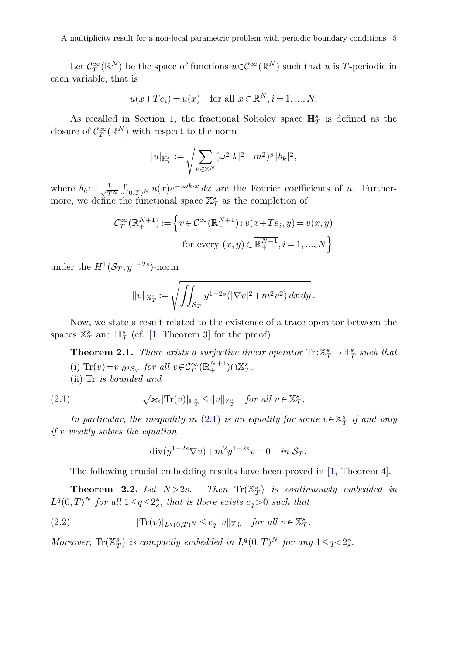A multiplicity result for a non-local parametric problem with periodic boundary conditions 5

Let  $C_T^{\infty}(\mathbb{R}^N)$  be the space of functions  $u \in C^{\infty}(\mathbb{R}^N)$  such that *u* is *T*-periodic in each variable, that is

$$
u(x+Te_i) = u(x)
$$
 for all  $x \in \mathbb{R}^N$ ,  $i = 1, ..., N$ .

As recalled in Section [1,](#page-0-1) the fractional Sobolev space  $\mathbb{H}_T^s$  is defined as the closure of  $C_T^{\infty}(\mathbb{R}^N)$  with respect to the norm

$$
|u|_{\mathbb{H}^s_T} := \sqrt{\sum_{k \in \mathbb{Z}^N} (\omega^2 |k|^2 + m^2)^s |b_k|^2},
$$

where  $b_k := \frac{1}{\sqrt{7}}$  $\frac{1}{T^N} \int_{(0,T)^N} u(x) e^{-i\omega k \cdot x} dx$  are the Fourier coefficients of *u*. Furthermore, we define the functional space  $\mathbb{X}_T^s$  as the completion of

$$
\mathcal{C}^{\infty}_T(\overline{\mathbb{R}^{N+1}_+}) := \left\{ v \in \mathcal{C}^{\infty}(\overline{\mathbb{R}^{N+1}_+}) : v(x + Te_i, y) = v(x, y) \right\}
$$
  
for every  $(x, y) \in \overline{\mathbb{R}^{N+1}_+}, i = 1, ..., N \right\}$ 

under the  $H^1(\mathcal{S}_T, y^{1-2s})$ -norm

$$
||v||_{\mathbb{X}_T^s} := \sqrt{\iint_{\mathcal{S}_T} y^{1-2s} (|\nabla v|^2 + m^2 v^2) dx dy}.
$$

Now, we state a result related to the existence of a trace operator between the spaces  $\mathbb{X}_T^s$  and  $\mathbb{H}_T^s$  (cf. [\[1,](#page-16-3) Theorem 3] for the proof).

<span id="page-4-2"></span>**Theorem 2.1.** There exists a surjective linear operator  $\text{Tr}:\mathbb{X}_T^s \to \mathbb{H}_T^s$  such that (i)  $\text{Tr}(v) = v|_{\partial^0 \mathcal{S}_T}$  for all  $v \in C_T^{\infty}(\mathbb{R}^{N+1}_+) \cap \mathbb{X}^s_T$ . (ii) Tr is bounded and

(2.1) 
$$
\sqrt{\varkappa_s}|\text{Tr}(v)|_{\mathbb{H}^s_T} \leq ||v||_{\mathbb{X}^s_T} \text{ for all } v \in \mathbb{X}^s_T.
$$

In particular, the inequality in  $(2.1)$  is an equality for some  $v \in \mathbb{X}_T^s$  if and only if *v* weakly solves the equation

<span id="page-4-1"></span><span id="page-4-0"></span>
$$
-\operatorname{div}(y^{1-2s}\nabla v) + m^2 y^{1-2s} v = 0 \quad in \ \mathcal{S}_T.
$$

The following crucial embedding results have been proved in [\[1,](#page-16-3) Theorem 4].

<span id="page-4-3"></span>**Theorem 2.2.** Let  $N > 2s$ . Then  $Tr(X_T^s)$  is continuously embedded in  $L^q(0,T)^N$  for all  $1 \leq q \leq 2^*_s$ , that is there exists  $c_q > 0$  such that

(2.2) 
$$
|\text{Tr}(v)|_{L^q(0,T)^N} \leq c_q \|v\|_{\mathbb{X}_T^s} \quad \text{for all } v \in \mathbb{X}_T^s.
$$

Moreover,  $\text{Tr}(\mathbb{X}_T^s)$  is compactly embedded in  $L^q(0,T)^N$  for any  $1 \leq q < 2_s^*$ .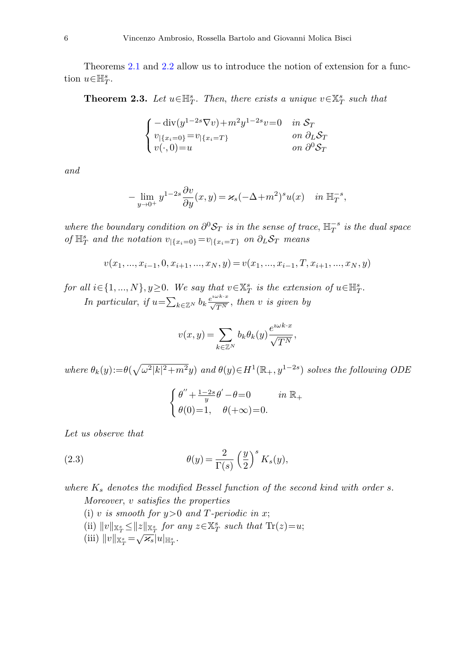Theorems [2.1](#page-4-2) and [2.2](#page-4-3) allow us to introduce the notion of extension for a function  $u \in \mathbb{H}_T^s$ .

**Theorem 2.3.** Let  $u \in \mathbb{H}_T^s$ . Then, there exists a unique  $v \in \mathbb{X}_T^s$  such that

$$
\begin{cases}\n-\operatorname{div}(y^{1-2s}\nabla v) + m^2 y^{1-2s} v = 0 & \text{in } \mathcal{S}_T \\
v_{|\{x_i=0\}} = v_{|\{x_i=T\}} & \text{on } \partial_L \mathcal{S}_T \\
v(\cdot, 0) = u & \text{on } \partial^0 \mathcal{S}_T\n\end{cases}
$$

and

$$
-\lim_{y\to 0^+} y^{1-2s}\frac{\partial v}{\partial y}(x,y) = \varkappa_s(-\Delta+m^2)^s u(x) \quad in \ \mathbb{H}_T^{-s},
$$

where the boundary condition on  $\partial^0 S_T$  is in the sense of trace,  $\mathbb{H}_T^{-s}$  is the dual space  $\int_{T}$  and the notation  $v_{|\{x_i=0\}}=v_{|\{x_i=T\}}$  on  $\partial_L S_T$  means

$$
v(x_1, ..., x_{i-1}, 0, x_{i+1}, ..., x_N, y) = v(x_1, ..., x_{i-1}, T, x_{i+1}, ..., x_N, y)
$$

for all  $i \in \{1, ..., N\}, y \ge 0$ . We say that  $v \in \mathbb{X}_T^s$  is the extension of  $u \in \mathbb{H}_T^s$ . In particular, if  $u = \sum_{k \in \mathbb{Z}^N} b_k \frac{e^{i \omega k \cdot x}}{\sqrt{T^N}}$ , then *v* is given by

$$
v(x,y) = \sum_{k \in \mathbb{Z}^N} b_k \theta_k(y) \frac{e^{i \omega k \cdot x}}{\sqrt{T^N}},
$$

 $where \ \theta_k(y) := \theta(\sqrt{\omega^2|k|^2 + m^2}y) \ and \ \theta(y) \in H^1(\mathbb{R}_+, y^{1-2s}) \ solves the following ODE$ 

<span id="page-5-0"></span>
$$
\label{eq:thetadef} \left\{ \begin{aligned} &\theta^{\prime\prime} + \tfrac{1-2s}{y} \theta^\prime - \theta\! =\! 0 &&\text{ in }\mathbb{R}_+\\ &\theta(0)\!=\! 1, \quad \theta(+\infty)\!=\! 0. \end{aligned} \right.
$$

Let us observe that

(2.3) 
$$
\theta(y) = \frac{2}{\Gamma(s)} \left(\frac{y}{2}\right)^s K_s(y),
$$

where *K<sup>s</sup>* denotes the modified Bessel function of the second kind with order *s*. Moreover, *v* satisfies the properties

- (i) *v* is smooth for  $y>0$  and *T*-periodic in *x*;  $\|v\|_{\mathbb{X}_T^s} \leq \|z\|_{\mathbb{X}_T^s}$  *for any*  $z \in \mathbb{X}_T^s$  *such that*  $\text{Tr}(z) = u$ ;
- $(iii)$   $||v||_{\mathbb{X}_T^s} = \sqrt{\varkappa_s} |u|_{\mathbb{H}_T^s}$ .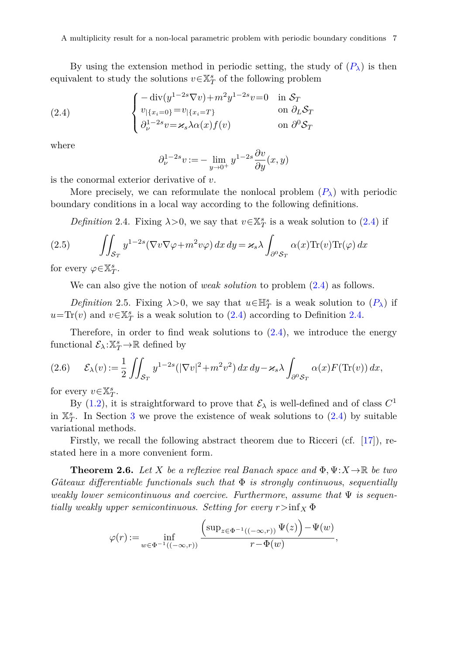By using the extension method in periodic setting, the study of  $(P_\lambda)$  $(P_\lambda)$  $(P_\lambda)$  is then equivalent to study the solutions  $v\!\in\!\mathbb{X}_T^s$  of the following problem

(2.4) 
$$
\begin{cases}\n-\operatorname{div}(y^{1-2s}\nabla v) + m^2 y^{1-2s} v = 0 & \text{in } \mathcal{S}_T \\
v_{|\{x_i=0\}} = v_{|\{x_i=T\}} & \text{on } \partial_L \mathcal{S}_T \\
\partial_\nu^{1-2s} v = \varkappa_s \lambda \alpha(x) f(v) & \text{on } \partial^0 \mathcal{S}_T\n\end{cases}
$$

where

<span id="page-6-4"></span><span id="page-6-2"></span>
$$
\partial_{\nu}^{1-2s} \nu := -\lim_{y \to 0^+} y^{1-2s} \frac{\partial v}{\partial y}(x, y)
$$

is the conormal exterior derivative of *v*.

More precisely, we can reformulate the nonlocal problem  $(P_\lambda)$  $(P_\lambda)$  $(P_\lambda)$  with periodic boundary conditions in a local way according to the following definitions.

*Definition* 2.4. Fixing  $\lambda > 0$ , we say that  $v \in \mathbb{X}_T^s$  is a weak solution to [\(2.4\)](#page-6-2) if

<span id="page-6-3"></span>(2.5) 
$$
\iint_{\mathcal{S}_T} y^{1-2s} (\nabla v \nabla \varphi + m^2 v \varphi) dx dy = \varkappa_s \lambda \int_{\partial^0 \mathcal{S}_T} \alpha(x) \text{Tr}(v) \text{Tr}(\varphi) dx
$$

for every  $\varphi \in \mathbb{X}_T^s$ .

<span id="page-6-0"></span>We can also give the notion of *weak solution* to problem [\(2.4\)](#page-6-2) as follows.

*Definition* 2.5. Fixing  $\lambda > 0$ , we say that  $u \in \mathbb{H}^s_T$  is a weak solution to  $(P_\lambda)$  $(P_\lambda)$  $(P_\lambda)$  if  $u=\text{Tr}(v)$  and  $v \in \mathbb{X}_T^s$  is a weak solution to [\(2.4\)](#page-6-2) according to Definition [2.4.](#page-6-3)

Therefore, in order to find weak solutions to  $(2.4)$ , we introduce the energy functional  $\mathcal{E}_{\lambda}$ : $\mathbb{X}_T^s \rightarrow \mathbb{R}$  defined by

$$
(2.6) \qquad \mathcal{E}_{\lambda}(v) := \frac{1}{2} \iint_{\mathcal{S}_T} y^{1-2s} (|\nabla v|^2 + m^2 v^2) \, dx \, dy - \varkappa_s \lambda \int_{\partial^0 \mathcal{S}_T} \alpha(x) F(\text{Tr}(v)) \, dx,
$$

for every  $v \in \mathbb{X}_T^s$ .

By [\(1.2\)](#page-2-0), it is straightforward to prove that  $\mathcal{E}_{\lambda}$  is well-defined and of class  $C^1$ in  $\mathbb{X}_T^s$ . In Section [3](#page-7-0) we prove the existence of weak solutions to  $(2.4)$  by suitable variational methods.

Firstly, we recall the following abstract theorem due to Ricceri (cf. [\[17](#page-16-12)]), restated here in a more convenient form.

<span id="page-6-1"></span>**Theorem 2.6.** Let *X* be a reflexive real Banach space and  $\Phi, \Psi: X \to \mathbb{R}$  be two  $G\hat{a}teaux\ differentiable\ functionals$  such that  $\Phi$  is strongly continuous, sequentially weakly lower semicontinuous and coercive. Furthermore, assume that  $\Psi$  is sequentially weakly upper semicontinuous. Setting for every  $r > inf_X \Phi$ 

$$
\varphi(r):=\inf_{w\in \Phi^{-1}((-\infty,r))}\frac{\left(\sup_{z\in \Phi^{-1}((-\infty,r))}\Psi(z)\right)\!-\!\Psi(w)}{r\!-\!\Phi(w)},
$$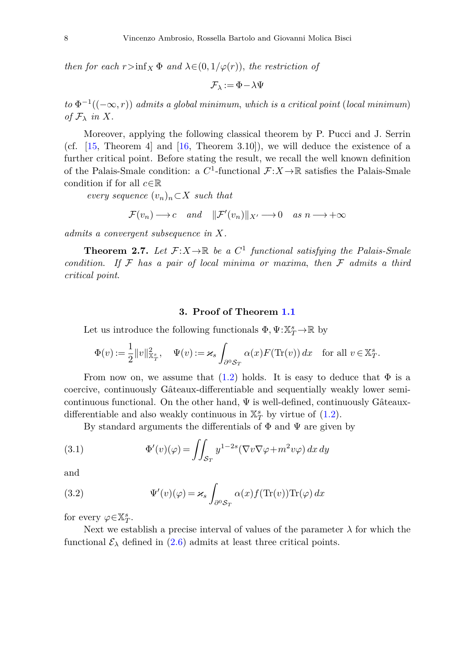then for each  $r > inf_X \Phi$  and  $\lambda \in (0, 1/\varphi(r))$ , the restriction of

 $\mathcal{F}_{\lambda} := \Phi - \lambda \Psi$ 

 $to \Phi^{-1}((-\infty, r))$  admits a global minimum, which is a critical point (local minimum) of  $\mathcal{F}_{\lambda}$  in  $X$ .

Moreover, applying the following classical theorem by P. Pucci and J. Serrin (cf. [\[15,](#page-16-13) Theorem 4] and [\[16](#page-16-14), Theorem 3.10]), we will deduce the existence of a further critical point. Before stating the result, we recall the well known definition of the Palais-Smale condition: a  $C^1$ -functional  $\mathcal{F}: X \to \mathbb{R}$  satisfies the Palais-Smale condition if for all *<sup>c</sup>*∈<sup>R</sup>

*every sequence*  $(v_n)_n \subset X$  *such that* 

$$
\mathcal{F}(v_n) \longrightarrow c \quad and \quad ||\mathcal{F}'(v_n)||_{X'} \longrightarrow 0 \quad as \quad n \longrightarrow +\infty
$$

*admits a convergent subsequence in X.*

<span id="page-7-1"></span>**Theorem 2.7.** Let  $\mathcal{F}: X \to \mathbb{R}$  be a  $C^1$  functional satisfying the Palais-Smale condition. If  $\mathcal F$  has a pair of local minima or maxima, then  $\mathcal F$  admits a third critical point.

### <span id="page-7-2"></span>**3. Proof of Theorem [1.1](#page-2-1)**

<span id="page-7-0"></span>Let us introduce the following functionals  $\Phi, \Psi: \mathbb{X}_T^s \to \mathbb{R}$  by

$$
\Phi(v) := \frac{1}{2} ||v||_{\mathbb{X}_T^s}^2, \quad \Psi(v) := \varkappa_s \int_{\partial^0 \mathcal{S}_T} \alpha(x) F(\text{Tr}(v)) \, dx \quad \text{for all } v \in \mathbb{X}_T^s.
$$

From now on, we assume that [\(1.2\)](#page-2-0) holds. It is easy to deduce that  $\Phi$  is a coercive, continuously Gâteaux-differentiable and sequentially weakly lower semicontinuous functional. On the other hand,  $\Psi$  is well-defined, continuously Gâteauxdifferentiable and also weakly continuous in  $\mathbb{X}_T^s$  by virtue of [\(1.2\)](#page-2-0).

By standard arguments the differentials of  $\Phi$  and  $\Psi$  are given by

(3.1) 
$$
\Phi'(v)(\varphi) = \iint_{\mathcal{S}_T} y^{1-2s} (\nabla v \nabla \varphi + m^2 v \varphi) \, dx \, dy
$$

<span id="page-7-3"></span>and

(3.2) 
$$
\Psi'(v)(\varphi) = \varkappa_s \int_{\partial^0 \mathcal{S}_T} \alpha(x) f(\text{Tr}(v)) \text{Tr}(\varphi) dx
$$

for every  $\varphi \in \mathbb{X}_T^s$ .

Next we establish a precise interval of values of the parameter  $\lambda$  for which the functional  $\mathcal{E}_{\lambda}$  defined in [\(2.6\)](#page-6-0) admits at least three critical points.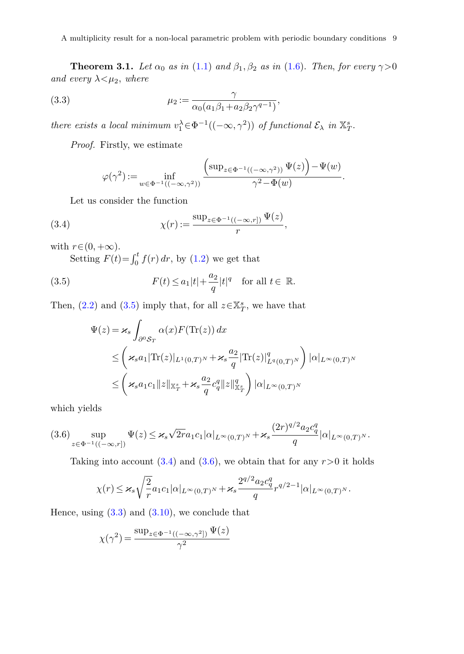<span id="page-8-4"></span>**Theorem 3.1.** Let  $\alpha_0$  as in [\(1.1\)](#page-2-2) and  $\beta_1$ ,  $\beta_2$  as in [\(1.6\)](#page-2-3). Then, for every  $\gamma > 0$ and every  $\lambda < \mu_2$ , where

(3.3) 
$$
\mu_2 := \frac{\gamma}{\alpha_0(a_1\beta_1 + a_2\beta_2\gamma^{q-1})},
$$

there exists a local minimum  $v_1^{\lambda} \in \Phi^{-1}((-\infty, \gamma^2))$  of functional  $\mathcal{E}_{\lambda}$  in  $\mathbb{X}_T^s$ .

*Proof.* Firstly, we estimate

<span id="page-8-2"></span><span id="page-8-0"></span>
$$
\varphi(\gamma^2):=\inf_{w\in \Phi^{-1}((-\infty,\gamma^2))}\frac{\left(\sup_{z\in \Phi^{-1}((-\infty,\gamma^2))}\Psi(z)\right)-\Psi(w)}{\gamma^2-\Phi(w)}.
$$

Let us consider the function

(3.4) 
$$
\chi(r) := \frac{\sup_{z \in \Phi^{-1}((-\infty,r])} \Psi(z)}{r},
$$

with  $r \in (0, +\infty)$ .

Setting  $F(t) = \int_0^t f(r) dr$ , by [\(1.2\)](#page-2-0) we get that

(3.5) 
$$
F(t) \le a_1|t| + \frac{a_2}{q}|t|^q \quad \text{for all } t \in \mathbb{R}.
$$

Then,  $(2.2)$  and  $(3.5)$  imply that, for all  $z \in \mathbb{X}_T^s$ , we have that

<span id="page-8-1"></span>
$$
\Psi(z) = \varkappa_s \int_{\partial^0 S_T} \alpha(x) F(\text{Tr}(z)) dx
$$
\n
$$
\leq \left( \varkappa_s a_1 |\text{Tr}(z)|_{L^1(0,T)^N} + \varkappa_s \frac{a_2}{q} |\text{Tr}(z)|_{L^q(0,T)^N}^q \right) |\alpha|_{L^\infty(0,T)^N}
$$
\n
$$
\leq \left( \varkappa_s a_1 c_1 \|z\|_{\mathbb{X}_T^s} + \varkappa_s \frac{a_2}{q} c_q^q \|z\|_{\mathbb{X}_T^s}^q \right) |\alpha|_{L^\infty(0,T)^N}
$$

which yields

<span id="page-8-3"></span>
$$
(3.6) \sup_{z \in \Phi^{-1}((-\infty,r])} \Psi(z) \leq \varkappa_s \sqrt{2r} a_1 c_1 |\alpha|_{L^{\infty}(0,T)^N} + \varkappa_s \frac{(2r)^{q/2} a_2 c_q^q}{q} |\alpha|_{L^{\infty}(0,T)^N}.
$$

Taking into account  $(3.4)$  and  $(3.6)$ , we obtain that for any  $r > 0$  it holds

$$
\chi(r)\leq \varkappa_s\sqrt{\frac{2}{r}}a_1c_1|\alpha|_{L^\infty(0,T)^N}+\varkappa_s\frac{2^{q/2}a_2c_q^q}{q}r^{q/2-1}|\alpha|_{L^\infty(0,T)^N}.
$$

Hence, using  $(3.3)$  and  $(3.10)$ , we conclude that

$$
\chi(\gamma^2) = \frac{\sup_{z \in \Phi^{-1}((-\infty,\gamma^2])} \Psi(z)}{\gamma^2}
$$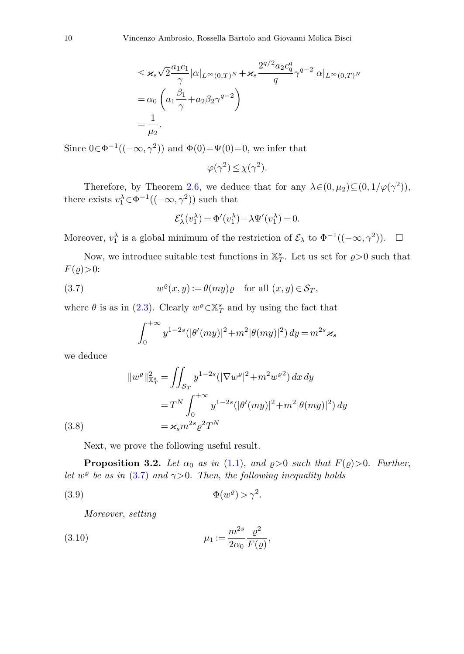$$
\leq \varkappa_s \sqrt{2} \frac{a_1 c_1}{\gamma} |\alpha|_{L^{\infty}(0,T)^N} + \varkappa_s \frac{2^{q/2} a_2 c_q^q}{q} \gamma^{q-2} |\alpha|_{L^{\infty}(0,T)^N}
$$
  
=  $\alpha_0 \left( a_1 \frac{\beta_1}{\gamma} + a_2 \beta_2 \gamma^{q-2} \right)$   
=  $\frac{1}{\mu_2}$ .

Since  $0 \in \Phi^{-1}((-\infty, \gamma^2))$  and  $\Phi(0) = \Psi(0) = 0$ , we infer that

$$
\varphi(\gamma^2) \le \chi(\gamma^2).
$$

Therefore, by Theorem [2.6,](#page-6-1) we deduce that for any  $\lambda \in (0, \mu_2) \subseteq (0, 1/\varphi(\gamma^2))$ , there exists  $v_1^{\lambda} \in \Phi^{-1}((-\infty, \gamma^2))$  such that

$$
\mathcal{E}'_{\lambda}(v_1^{\lambda}) = \Phi'(v_1^{\lambda}) - \lambda \Psi'(v_1^{\lambda}) = 0.
$$

Moreover,  $v_1^{\lambda}$  is a global minimum of the restriction of  $\mathcal{E}_{\lambda}$  to  $\Phi^{-1}((-\infty, \gamma^2))$ .  $\Box$ 

<span id="page-9-1"></span>Now, we introduce suitable test functions in  $\mathbb{X}_T^s$ . Let us set for  $\rho > 0$  such that  $F(\varrho)$  $>0$ :

(3.7) 
$$
w^{\varrho}(x,y) := \theta(my)\varrho \quad \text{for all } (x,y) \in \mathcal{S}_T,
$$

where  $\theta$  is as in [\(2.3\)](#page-5-0). Clearly  $w^{\varrho} \in \mathbb{X}_T^s$  and by using the fact that

<span id="page-9-3"></span>
$$
\int_0^{+\infty} y^{1-2s} (|\theta'(my)|^2 + m^2 |\theta(my)|^2) dy = m^{2s} \varkappa_s
$$

we deduce

(3.8)  
\n
$$
||w^{\varrho}||_{\mathbb{X}_T^s}^2 = \iint_{\mathcal{S}_T} y^{1-2s} (|\nabla w^{\varrho}|^2 + m^2 w^{\varrho 2}) dx dy
$$
\n
$$
= T^N \int_0^{+\infty} y^{1-2s} (|\theta'(my)|^2 + m^2 |\theta(my)|^2) dy
$$
\n
$$
= \varkappa_s m^{2s} \varrho^2 T^N
$$

<span id="page-9-2"></span>Next, we prove the following useful result.

<span id="page-9-4"></span>**Proposition 3.2.** Let  $\alpha_0$  as in [\(1.1\)](#page-2-2), and  $\rho > 0$  such that  $F(\rho) > 0$ . Further, let  $w^{\varrho}$  be as in [\(3.7\)](#page-9-1) and  $\gamma > 0$ . Then, the following inequality holds

$$
(3.9) \t\t\t \Phi(w^{\varrho}) > \gamma^2.
$$

<span id="page-9-0"></span>Moreover, setting

(3.10) 
$$
\mu_1 := \frac{m^{2s}}{2\alpha_0} \frac{\varrho^2}{F(\varrho)},
$$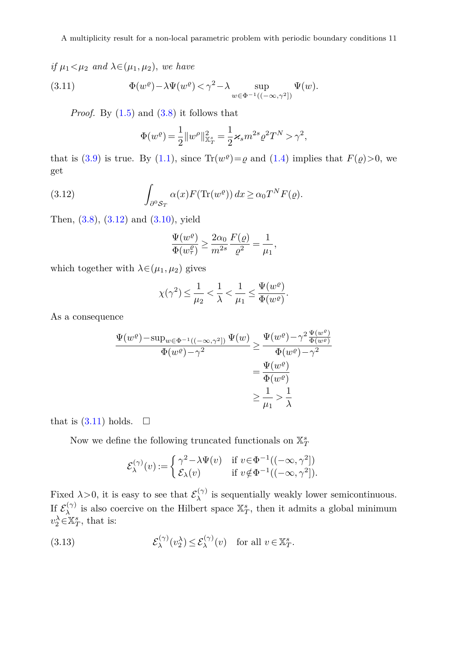# if  $\mu_1 < \mu_2$  and  $\lambda \in (\mu_1, \mu_2)$ , we have

(3.11) 
$$
\Phi(w^{\rho}) - \lambda \Psi(w^{\rho}) < \gamma^2 - \lambda \sup_{w \in \Phi^{-1}((-\infty,\gamma^2])} \Psi(w).
$$

*Proof.* By  $(1.5)$  and  $(3.8)$  it follows that

<span id="page-10-1"></span>
$$
\Phi(w^{\rho}) = \frac{1}{2} ||w^{\rho}||_{\mathbb{X}_T^s}^2 = \frac{1}{2} \varkappa_s m^{2s} \varrho^2 T^N > \gamma^2,
$$

<span id="page-10-0"></span>that is [\(3.9\)](#page-9-3) is true. By [\(1.1\)](#page-2-2), since  $\text{Tr}(w^{\rho}) = \rho$  and [\(1.4\)](#page-2-5) implies that  $F(\rho) > 0$ , we get

(3.12) 
$$
\int_{\partial^0 S_T} \alpha(x) F(\text{Tr}(w^{\varrho})) dx \ge \alpha_0 T^N F(\varrho).
$$

Then, [\(3.8\)](#page-9-2), [\(3.12\)](#page-10-0) and [\(3.10\)](#page-9-0), yield

$$
\frac{\Psi(w^\varrho)}{\Phi(w^\varrho_\tau)}\geq \frac{2\alpha_0}{m^{2s}}\frac{F(\varrho)}{\varrho^2}=\frac{1}{\mu_1},
$$

which together with  $\lambda \in (\mu_1, \mu_2)$  gives

$$
\chi(\gamma^2)\leq \frac{1}{\mu_2}<\frac{1}{\lambda}<\frac{1}{\mu_1}\leq \frac{\Psi(w^\varrho)}{\Phi(w^\varrho)}.
$$

As a consequence

$$
\frac{\Psi(w^{\varrho}) - \sup_{w \in \Phi^{-1}((-\infty,\gamma^2])} \Psi(w)}{\Phi(w^{\varrho}) - \gamma^2} \ge \frac{\Psi(w^{\varrho}) - \gamma^2 \frac{\Psi(w^{\varrho})}{\Phi(w^{\varrho})}}{\Phi(w^{\varrho}) - \gamma^2}
$$
\n
$$
= \frac{\Psi(w^{\varrho})}{\Phi(w^{\varrho})}
$$
\n
$$
\ge \frac{1}{\mu_1} > \frac{1}{\lambda}
$$

that is  $(3.11)$  holds.  $\Box$ 

Now we define the following truncated functionals on  $\mathbb{X}^s_T$ 

<span id="page-10-2"></span>
$$
\mathcal{E}_{\lambda}^{(\gamma)}(v) := \begin{cases} \gamma^2 - \lambda \Psi(v) & \text{if } v \in \Phi^{-1}((-\infty, \gamma^2]) \\ \mathcal{E}_{\lambda}(v) & \text{if } v \notin \Phi^{-1}((-\infty, \gamma^2]). \end{cases}
$$

Fixed  $\lambda > 0$ , it is easy to see that  $\mathcal{E}_{\lambda}^{(\gamma)}$  is sequentially weakly lower semicontinuous. If  $\mathcal{E}_{\lambda}^{(\gamma)}$  is also coercive on the Hilbert space  $\mathbb{X}_{T}^{s}$ , then it admits a global minimum  $v_2^{\lambda} \in \mathbb{X}_T^s$ , that is:

(3.13) 
$$
\mathcal{E}_{\lambda}^{(\gamma)}(v_2^{\lambda}) \leq \mathcal{E}_{\lambda}^{(\gamma)}(v) \text{ for all } v \in \mathbb{X}_T^s.
$$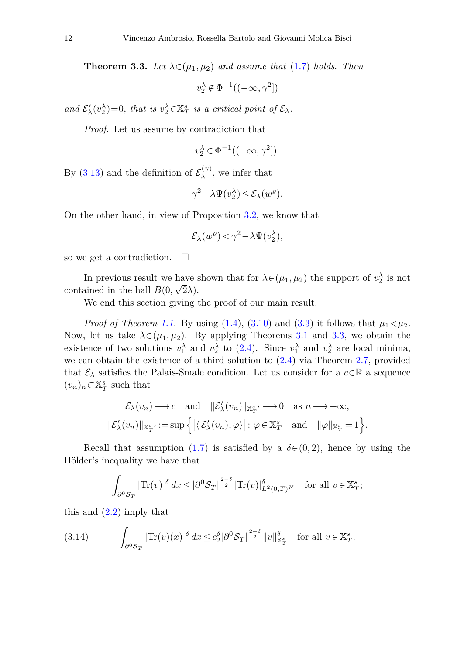<span id="page-11-0"></span>**Theorem 3.3.** Let  $\lambda \in (\mu_1, \mu_2)$  and assume that [\(1.7\)](#page-3-1) holds. Then

 $v_2^{\lambda} \notin \Phi^{-1}((-\infty, \gamma^2])$ 

and  $\mathcal{E}'_{\lambda}(v_2^{\lambda})=0$ , that is  $v_2^{\lambda} \in \mathbb{X}_T^s$  is a critical point of  $\mathcal{E}_{\lambda}$ .

*Proof.* Let us assume by contradiction that

$$
v_2^{\lambda} \in \Phi^{-1}((-\infty, \gamma^2]).
$$

By [\(3.13\)](#page-10-2) and the definition of  $\mathcal{E}_{\lambda}^{(\gamma)}$ , we infer that

$$
\gamma^2 - \lambda \Psi(v_2^{\lambda}) \le \mathcal{E}_{\lambda}(w^{\varrho}).
$$

On the other hand, in view of Proposition [3.2,](#page-9-4) we know that

$$
\mathcal{E}_{\lambda}(w^{\varrho}) < \gamma^2 - \lambda \Psi(v_2^{\lambda}),
$$

so we get a contradiction.  $\Box$ 

In previous result we have shown that for  $\lambda \in (\mu_1, \mu_2)$  the support of  $v_2^{\lambda}$  is not contained in the ball  $B(0, \sqrt{2}\lambda)$ .

We end this section giving the proof of our main result.

*Proof of Theorem [1.1.](#page-2-1)* By using  $(1.4)$ ,  $(3.10)$  and  $(3.3)$  it follows that  $\mu_1 < \mu_2$ . Now, let us take  $\lambda \in (\mu_1, \mu_2)$ . By applying Theorems [3.1](#page-8-4) and [3.3,](#page-11-0) we obtain the existence of two solutions  $v_1^{\lambda}$  and  $v_2^{\lambda}$  to [\(2.4\)](#page-6-2). Since  $v_1^{\lambda}$  and  $v_2^{\lambda}$  are local minima, we can obtain the existence of a third solution to  $(2.4)$  via Theorem [2.7,](#page-7-1) provided that  $\mathcal{E}_{\lambda}$  satisfies the Palais-Smale condition. Let us consider for a  $c \in \mathbb{R}$  a sequence  $(v_n)_n$ ⊂X<sup>*s*</sup><sub>*T*</sub> such that

$$
\mathcal{E}_{\lambda}(v_n) \longrightarrow c \quad \text{and} \quad \|\mathcal{E}_{\lambda}'(v_n)\|_{\mathbb{X}_T^{s'}} \longrightarrow 0 \quad \text{as } n \longrightarrow +\infty,
$$
  

$$
\|\mathcal{E}_{\lambda}'(v_n)\|_{\mathbb{X}_T^{s'}} := \sup \{|\langle \mathcal{E}_{\lambda}'(v_n), \varphi \rangle| : \varphi \in \mathbb{X}_T^{s} \quad \text{and} \quad \|\varphi\|_{\mathbb{X}_T^{s}} = 1 \}.
$$

Recall that assumption [\(1.7\)](#page-3-1) is satisfied by a  $\delta \in (0, 2)$ , hence by using the Hölder's inequality we have that

<span id="page-11-1"></span>
$$
\int_{\partial^0 \mathcal{S}_T} |\text{Tr}(v)|^{\delta} \, dx \leq |\partial^0 \mathcal{S}_T|^{\frac{2-\delta}{2}} |\text{Tr}(v)|_{L^2(0,T)^N}^{\delta} \quad \text{for all } v \in \mathbb{X}_T^s;
$$

this and  $(2.2)$  imply that

$$
(3.14) \qquad \int_{\partial^0 \mathcal{S}_T} |\text{Tr}(v)(x)|^{\delta} dx \leq c_2^{\delta} |\partial^0 \mathcal{S}_T|^{\frac{2-\delta}{2}} \|v\|_{\mathbb{X}_T^s}^{\delta} \quad \text{for all } v \in \mathbb{X}_T^s.
$$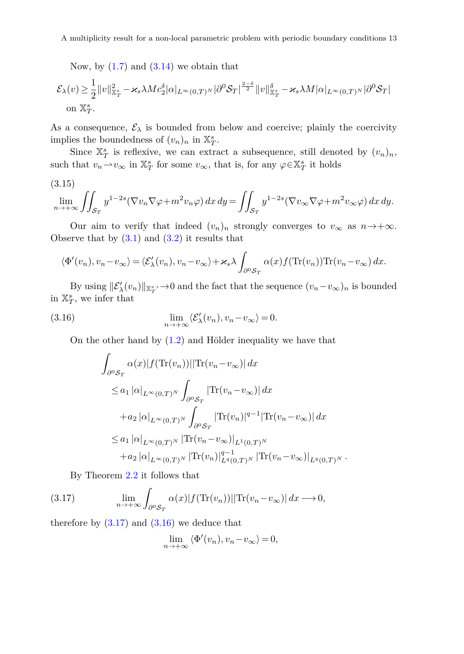Now, by  $(1.7)$  and  $(3.14)$  we obtain that

$$
\mathcal{E}_{\lambda}(v) \geq \frac{1}{2} ||v||_{\mathbb{X}_T^s}^2 - \varkappa_s \lambda M c_2^{\delta} |\alpha|_{L^{\infty}(0,T)^N} |\partial^0 \mathcal{S}_T|^{\frac{2-\delta}{2}} ||v||_{\mathbb{X}_T^s}^{\delta} - \varkappa_s \lambda M |\alpha|_{L^{\infty}(0,T)^N} |\partial^0 \mathcal{S}_T|
$$
  
on  $\mathbb{X}_T^s$ .

As a consequence,  $\mathcal{E}_{\lambda}$  is bounded from below and coercive; plainly the coercivity implies the boundedness of  $(v_n)_n$  in  $\mathbb{X}_T^s$ .

Since  $\mathbb{X}_T^s$  is reflexive, we can extract a subsequence, still denoted by  $(v_n)_n$ , such that  $v_n \rightharpoonup v_\infty$  in  $\mathbb{X}_T^s$  for some  $v_\infty$ , that is, for any  $\varphi \in \mathbb{X}_T^s$  it holds

<span id="page-12-2"></span>
$$
(3.15)
$$

$$
\lim_{n \to +\infty} \iint_{\mathcal{S}_T} y^{1-2s} (\nabla v_n \nabla \varphi + m^2 v_n \varphi) \, dx \, dy = \iint_{\mathcal{S}_T} y^{1-2s} (\nabla v_\infty \nabla \varphi + m^2 v_\infty \varphi) \, dx \, dy.
$$

Our aim to verify that indeed  $(v_n)_n$  strongly converges to  $v_\infty$  as  $n \to +\infty$ . Observe that by  $(3.1)$  and  $(3.2)$  it results that

$$
\langle \Phi'(v_n), v_n - v_{\infty} \rangle = \langle \mathcal{E}'_{\lambda}(v_n), v_n - v_{\infty} \rangle + \varkappa_s \lambda \int_{\partial^0 \mathcal{S}_T} \alpha(x) f(\text{Tr}(v_n)) \text{Tr}(v_n - v_{\infty}) dx.
$$

By using  $\|\mathcal{E}_{\lambda}'(v_n)\|_{\mathbb{X}_{T}^s} \to 0$  and the fact that the sequence  $(v_n - v_{\infty})_n$  is bounded in  $\mathbb{X}_T^s$ , we infer that

(3.16) 
$$
\lim_{n \to +\infty} \langle \mathcal{E}'_{\lambda}(v_n), v_n - v_{\infty} \rangle = 0.
$$

On the other hand by [\(1.2\)](#page-2-0) and Hölder inequality we have that

<span id="page-12-1"></span>
$$
\int_{\partial^0 S_T} \alpha(x)|f(\text{Tr}(v_n))||\text{Tr}(v_n - v_{\infty})| dx
$$
\n
$$
\leq a_1 |\alpha|_{L^{\infty}(0,T)^N} \int_{\partial^0 S_T} |\text{Tr}(v_n - v_{\infty})| dx
$$
\n
$$
+ a_2 |\alpha|_{L^{\infty}(0,T)^N} \int_{\partial^0 S_T} |\text{Tr}(v_n)|^{q-1} |\text{Tr}(v_n - v_{\infty})| dx
$$
\n
$$
\leq a_1 |\alpha|_{L^{\infty}(0,T)^N} |\text{Tr}(v_n - v_{\infty})|_{L^1(0,T)^N}
$$
\n
$$
+ a_2 |\alpha|_{L^{\infty}(0,T)^N} |\text{Tr}(v_n)|_{L^q(0,T)^N}^{q-1} |\text{Tr}(v_n - v_{\infty})|_{L^q(0,T)^N}.
$$

<span id="page-12-0"></span>By Theorem [2.2](#page-4-3) it follows that

(3.17) 
$$
\lim_{n \to +\infty} \int_{\partial^0 \mathcal{S}_T} \alpha(x) |f(\text{Tr}(v_n))| |\text{Tr}(v_n - v_\infty)| dx \longrightarrow 0,
$$

therefore by  $(3.17)$  and  $(3.16)$  we deduce that

$$
\lim_{n \to +\infty} \langle \Phi'(v_n), v_n - v_\infty \rangle = 0,
$$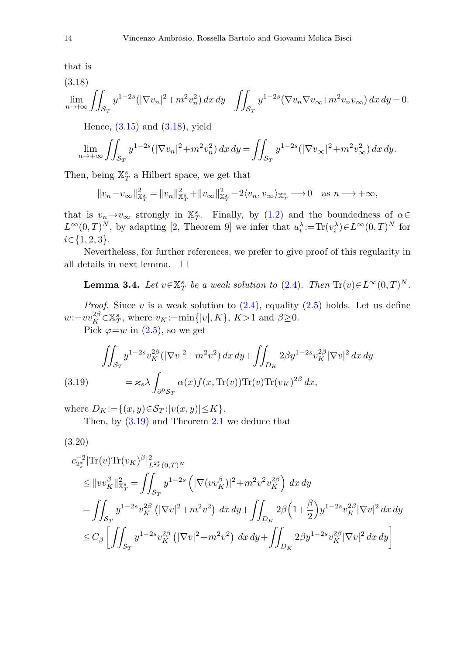that is

<span id="page-13-0"></span>
$$
(3.18)
$$

$$
\lim_{n\to+\infty}\iint_{\mathcal{S}_T} y^{1-2s}(|\nabla v_n|^2+m^2v_n^2)\,dx\,dy-\iint_{\mathcal{S}_T} y^{1-2s}(\nabla v_n\nabla v_\infty+m^2v_nv_\infty)\,dx\,dy=0.
$$

Hence,  $(3.15)$  and  $(3.18)$ , yield

$$
\lim_{n \to +\infty} \iint_{\mathcal{S}_T} y^{1-2s} (|\nabla v_n|^2 + m^2 v_n^2) \, dx \, dy = \iint_{\mathcal{S}_T} y^{1-2s} (|\nabla v_\infty|^2 + m^2 v_\infty^2) \, dx \, dy.
$$

Then, being  $\mathbb{X}_T^s$  a Hilbert space, we get that

$$
||v_n - v_\infty||_{\mathbb{X}_T^s}^2 = ||v_n||_{\mathbb{X}_T^s}^2 + ||v_\infty||_{\mathbb{X}_T^s}^2 - 2\langle v_n, v_\infty \rangle_{\mathbb{X}_T^s} \longrightarrow 0 \quad \text{as } n \longrightarrow +\infty,
$$

that is  $v_n \to v_\infty$  strongly in  $\mathbb{X}_T^s$ . Finally, by [\(1.2\)](#page-2-0) and the boundedness of  $\alpha \in$  $L^{\infty}(0,T)^N$ , by adapting [\[2](#page-16-4), Theorem 9] we infer that  $u_i^{\lambda} := \text{Tr}(v_i^{\lambda}) \in L^{\infty}(0,T)^N$  for *i*∈{1*,* 2*,* 3}.

Nevertheless, for further references, we prefer to give proof of this regularity in all details in next lemma.  $\Box$ 

**Lemma 3.4.** Let  $v \in \mathbb{X}_T^s$  be a weak solution to [\(2.4\)](#page-6-2). Then  $\text{Tr}(v) \in L^\infty(0,T)^N$ .

*Proof.* Since  $v$  is a weak solution to  $(2.4)$ , equality  $(2.5)$  holds. Let us define  $w:=vv_K^{2\beta} \in \mathbb{X}_T^s$ , where  $v_K:=\min\{|v|, K\}$ ,  $K>1$  and  $\beta \geq 0$ .

Pick  $\varphi = w$  in [\(2.5\)](#page-6-4), so we get

<span id="page-13-1"></span>(3.19) 
$$
\iint_{\mathcal{S}_T} y^{1-2s} v_K^{2\beta} (|\nabla v|^2 + m^2 v^2) dx dy + \iint_{D_K} 2\beta y^{1-2s} v_K^{2\beta} |\nabla v|^2 dx dy
$$

$$
= \varkappa_s \lambda \int_{\partial^0 \mathcal{S}_T} \alpha(x) f(x, \text{Tr}(v)) \text{Tr}(v) \text{Tr}(v_K)^{2\beta} dx,
$$

where  $D_K := \{(x, y) \in \mathcal{S}_T : |v(x, y)| \leq K\}.$ 

Then, by [\(3.19\)](#page-13-1) and Theorem [2.1](#page-4-2) we deduce that

<span id="page-13-2"></span>
$$
(3.20)
$$

$$
\begin{split} & c_{2_s^*}^{-2} |\text{Tr}(v) \text{Tr}(v_K)^{\beta}|_{L^{2_s^*}(0,T)^N}^2 \\ & \leq \|vv_K^{\beta}\|_{\mathbb{X}_T^s}^2 = \iint_{\mathcal{S}_T} y^{1-2s} \left( |\nabla(vv_K^{\beta})|^2 + m^2 v^2 v_K^{2\beta} \right) dx \, dy \\ & = \iint_{\mathcal{S}_T} y^{1-2s} v_K^{2\beta} \left( |\nabla v|^2 + m^2 v^2 \right) \, dx \, dy + \iint_{D_K} 2\beta \left( 1 + \frac{\beta}{2} \right) y^{1-2s} v_K^{2\beta} |\nabla v|^2 \, dx \, dy \\ & \leq C_\beta \left[ \iint_{\mathcal{S}_T} y^{1-2s} v_K^{2\beta} \left( |\nabla v|^2 + m^2 v^2 \right) \, dx \, dy + \iint_{D_K} 2\beta y^{1-2s} v_K^{2\beta} |\nabla v|^2 \, dx \, dy \right] \end{split}
$$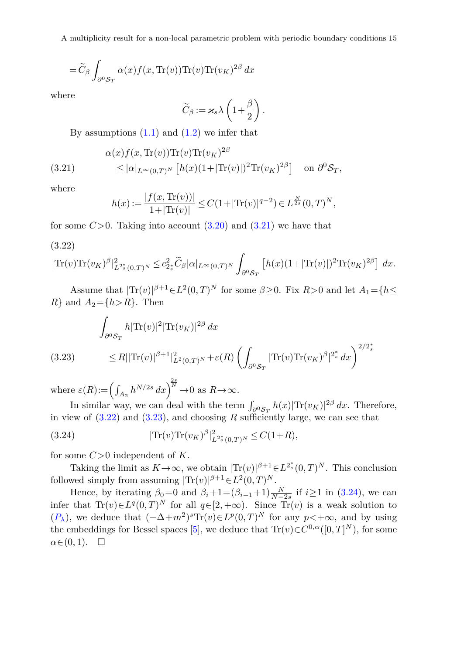A multiplicity result for a non-local parametric problem with periodic boundary conditions 15

$$
= \widetilde{C}_{\beta}\int_{\partial^0 {\cal S}_T} \alpha(x) f(x, \text{Tr}(v)) \text{Tr}(v) \text{Tr}(v_K)^{2\beta} dx
$$

where

$$
\widetilde{C}_{\beta} := \varkappa_s \lambda \left( 1 + \frac{\beta}{2} \right).
$$

By assumptions  $(1.1)$  and  $(1.2)$  we infer that

<span id="page-14-0"></span>(3.21) 
$$
\alpha(x) f(x, \text{Tr}(v)) \text{Tr}(v) \text{Tr}(v_K)^{2\beta} \le |\alpha|_{L^{\infty}(0,T)^N} [h(x)(1+|\text{Tr}(v)|)^2 \text{Tr}(v_K)^{2\beta}] \text{ on } \partial^0 \mathcal{S}_T,
$$

where

$$
h(x) := \frac{|f(x, \text{Tr}(v))|}{1 + |\text{Tr}(v)|} \le C(1 + |\text{Tr}(v)|^{q-2}) \in L^{\frac{N}{2s}}(0, T)^N,
$$

for some  $C>0$ . Taking into account  $(3.20)$  and  $(3.21)$  we have that

<span id="page-14-1"></span>(3.22)

$$
|\text{Tr}(v)\text{Tr}(v_K)^{\beta}|_{L^{2^*_s}(0,T)^N}^2 \leq c_{2^*_s}^2 \widetilde{C}_{\beta}|\alpha|_{L^{\infty}(0,T)^N} \int_{\partial^0 \mathcal{S}_T} \left[h(x)(1+|\text{Tr}(v)|)^2 \text{Tr}(v_K)^{2\beta}\right] dx.
$$

Assume that  $|\text{Tr}(v)|^{\beta+1} \in L^2(0,T)^N$  for some  $\beta \geq 0$ . Fix  $R > 0$  and let  $A_1 = \{h \leq$  $R$ } and  $A_2 = \{h > R\}$ . Then

$$
\int_{\partial^0 S_T} h|\text{Tr}(v)|^2 |\text{Tr}(v_K)|^{2\beta} dx
$$
\n(3.23) 
$$
\leq R||\text{Tr}(v)|^{\beta+1}|_{L^2(0,T)^N}^2 + \varepsilon(R) \left( \int_{\partial^0 S_T} |\text{Tr}(v)\text{Tr}(v_K)^{\beta}|^{2^*_s} dx \right)^{2/2^*_s}
$$

<span id="page-14-2"></span>where  $\varepsilon(R) := \left(\int_{A_2} h^{N/2s} dx\right)^{\frac{2s}{N}} \to 0$  as  $R \to \infty$ .

In similar way, we can deal with the term  $\int_{\partial^0 S_T} h(x) |\text{Tr}(v_K)|^{2\beta} dx$ . Therefore, in view of  $(3.22)$  and  $(3.23)$ , and choosing  $R$  sufficiently large, we can see that

<span id="page-14-3"></span>(3.24) 
$$
|\text{Tr}(v)\text{Tr}(v_K)^{\beta}|_{L^{2^*_s}(0,T)^N}^2 \leq C(1+R),
$$

for some *C>*0 independent of *K*.

Taking the limit as  $K \to \infty$ , we obtain  $|\text{Tr}(v)|^{\beta+1} \in L^{2^*_s}(0,T)^N$ . This conclusion followed simply from assuming  $|\text{Tr}(v)|^{\beta+1} \in L^2(0,T)^N$ .

Hence, by iterating  $\beta_0 = 0$  and  $\beta_i + 1 = (\beta_{i-1} + 1) \frac{N}{N-2s}$  if  $i \ge 1$  in [\(3.24\)](#page-14-3), we can infer that  $Tr(v) \in L^q(0,T)^N$  for all  $q \in [2, +\infty)$ . Since  $Tr(v)$  is a weak solution to  $(P_{\lambda})$  $(P_{\lambda})$  $(P_{\lambda})$ , we deduce that  $(-\Delta+m^2)^s \text{Tr}(v) \in L^p(0,T)^N$  for any  $p<+\infty$ , and by using the embeddings for Bessel spaces [\[5](#page-16-15)], we deduce that  $\text{Tr}(v) \in C^{0,\alpha}([0,T]^N)$ , for some  $\alpha \in (0,1)$ .  $\Box$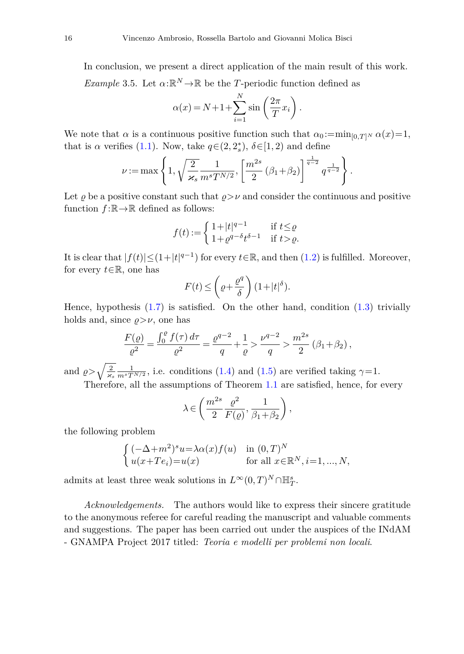In conclusion, we present a direct application of the main result of this work. *Example* 3.5. Let  $\alpha: \mathbb{R}^N \to \mathbb{R}$  be the *T*-periodic function defined as

$$
\alpha(x) = N + 1 + \sum_{i=1}^{N} \sin\left(\frac{2\pi}{T}x_i\right).
$$

We note that  $\alpha$  is a continuous positive function such that  $\alpha_0 := \min_{[0,T]^N} \alpha(x) = 1$ , that is  $\alpha$  verifies [\(1.1\)](#page-2-2). Now, take  $q \in (2, 2_s^*)$ ,  $\delta \in [1, 2)$  and define

$$
\nu := \max\left\{1, \sqrt{\frac{2}{\varkappa_s}} \frac{1}{m^s T^{N/2}}, \left[\frac{m^{2s}}{2} (\beta_1 + \beta_2)\right]^{\frac{1}{q-2}} q^{\frac{1}{q-2}}\right\}.
$$

Let  $\rho$  be a positive constant such that  $\rho > \nu$  and consider the continuous and positive function  $f : \mathbb{R} \to \mathbb{R}$  defined as follows:

$$
f(t) := \begin{cases} 1 + |t|^{q-1} & \text{if } t \le \varrho \\ 1 + \varrho^{q-\delta} t^{\delta - 1} & \text{if } t > \varrho. \end{cases}
$$

It is clear that  $|f(t)| \leq (1+|t|^{q-1})$  for every  $t \in \mathbb{R}$ , and then  $(1.2)$  is fulfilled. Moreover, for every *<sup>t</sup>*∈R, one has

$$
F(t) \le \left(\varrho + \frac{\varrho^q}{\delta}\right) \left(1 + |t|^{\delta}\right).
$$

Hence, hypothesis  $(1.7)$  is satisfied. On the other hand, condition  $(1.3)$  trivially holds and, since  $\rho > \nu$ , one has

$$
\frac{F(\varrho)}{\varrho^2} = \frac{\int_0^{\varrho} f(\tau) d\tau}{\varrho^2} = \frac{\varrho^{q-2}}{q} + \frac{1}{\varrho} > \frac{\nu^{q-2}}{q} > \frac{m^{2s}}{2} (\beta_1 + \beta_2),
$$

and  $\rho > \sqrt{\frac{2}{\varkappa_s}} \frac{1}{m^s T^{N/2}}$ , i.e. conditions [\(1.4\)](#page-2-5) and [\(1.5\)](#page-2-4) are verified taking  $\gamma = 1$ .

Therefore, all the assumptions of Theorem [1.1](#page-2-1) are satisfied, hence, for every

$$
\lambda \in \left(\frac{m^{2s}}{2} \frac{\varrho^2}{F(\varrho)}, \frac{1}{\beta_1 + \beta_2}\right),\,
$$

the following problem

$$
\begin{cases}\n(-\Delta+m^2)^s u = \lambda \alpha(x) f(u) & \text{in } (0,T)^N \\
u(x+Te_i) = u(x) & \text{for all } x \in \mathbb{R}^N, i=1,...,N,\n\end{cases}
$$

admits at least three weak solutions in  $L^{\infty}(0,T)^N \cap \mathbb{H}^s_T$ .

*Acknowledgements.* The authors would like to express their sincere gratitude to the anonymous referee for careful reading the manuscript and valuable comments and suggestions. The paper has been carried out under the auspices of the INdAM - GNAMPA Project 2017 titled: *Teoria e modelli per problemi non locali*.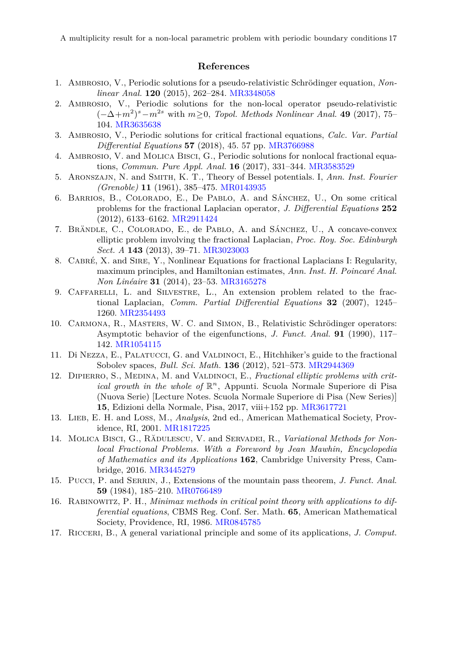A multiplicity result for a non-local parametric problem with periodic boundary conditions 17

### **References**

- <span id="page-16-3"></span>1. Ambrosio, V., Periodic solutions for a pseudo-relativistic Schrödinger equation, *Nonlinear Anal.* **120** (2015), 262–284. [MR3348058](http://www.ams.org/mathscinet-getitem?mr=3348058)
- <span id="page-16-4"></span>2. AMBROSIO, V., Periodic solutions for the non-local operator pseudo-relativistic (−Δ+*m*<sup>2</sup>) *<sup>s</sup>*−*m*<sup>2</sup>*<sup>s</sup>* with *<sup>m</sup>*≥0, *Topol. Methods Nonlinear Anal.* **<sup>49</sup>** (2017), 75– 104. [MR3635638](http://www.ams.org/mathscinet-getitem?mr=3635638)
- <span id="page-16-5"></span>3. Ambrosio, V., Periodic solutions for critical fractional equations, *Calc. Var. Partial Differential Equations* **57** (2018), 45. 57 pp. [MR3766988](http://www.ams.org/mathscinet-getitem?mr=3766988)
- <span id="page-16-6"></span>4. Ambrosio, V. and Molica Bisci, G., Periodic solutions for nonlocal fractional equations, *Commun. Pure Appl. Anal.* **16** (2017), 331–344. [MR3583529](http://www.ams.org/mathscinet-getitem?mr=3583529)
- <span id="page-16-15"></span>5. Aronszajn, N. and Smith, K. T., Theory of Bessel potentials. I, *Ann. Inst. Fourier (Grenoble)* **11** (1961), 385–475. [MR0143935](http://www.ams.org/mathscinet-getitem?mr=0143935)
- <span id="page-16-7"></span>6. Barrios, B., Colorado, E., De Pablo, A. and Sánchez, U., On some critical problems for the fractional Laplacian operator, *J. Differential Equations* **252** (2012), 6133–6162. [MR2911424](http://www.ams.org/mathscinet-getitem?mr=2911424)
- 7. Brändle, C., Colorado, E., de Pablo, A. and Sánchez, U., A concave-convex elliptic problem involving the fractional Laplacian, *Proc. Roy. Soc. Edinburgh Sect. A* **143** (2013), 39–71. [MR3023003](http://www.ams.org/mathscinet-getitem?mr=3023003)
- <span id="page-16-8"></span>8. Cabré, X. and Sire, Y., Nonlinear Equations for fractional Laplacians I: Regularity, maximum principles, and Hamiltonian estimates, *Ann. Inst. H. Poincaré Anal. Non Linéaire* **31** (2014), 23–53. [MR3165278](http://www.ams.org/mathscinet-getitem?mr=3165278)
- <span id="page-16-2"></span>9. Caffarelli, L. and Silvestre, L., An extension problem related to the fractional Laplacian, *Comm. Partial Differential Equations* **32** (2007), 1245– 1260. [MR2354493](http://www.ams.org/mathscinet-getitem?mr=2354493)
- <span id="page-16-11"></span>10. Carmona, R., Masters, W. C. and Simon, B., Relativistic Schrödinger operators: Asymptotic behavior of the eigenfunctions, *J. Funct. Anal.* **91** (1990), 117– 142. [MR1054115](http://www.ams.org/mathscinet-getitem?mr=1054115)
- <span id="page-16-0"></span>11. Di Nezza, E., Palatucci, G. and Valdinoci, E., Hitchhiker's guide to the fractional Sobolev spaces, *Bull. Sci. Math.* **136** (2012), 521–573. [MR2944369](http://www.ams.org/mathscinet-getitem?mr=2944369)
- <span id="page-16-9"></span>12. Dipierro, S., Medina, M. and Valdinoci, E., *Fractional elliptic problems with critical growth in the whole of*  $\mathbb{R}^n$ , Appunti. Scuola Normale Superiore di Pisa (Nuova Serie) [Lecture Notes. Scuola Normale Superiore di Pisa (New Series)] **15**, Edizioni della Normale, Pisa, 2017, viii+152 pp. [MR3617721](http://www.ams.org/mathscinet-getitem?mr=3617721)
- <span id="page-16-10"></span>13. Lieb, E. H. and Loss, M., *Analysis*, 2nd ed., American Mathematical Society, Providence, RI, 2001. [MR1817225](http://www.ams.org/mathscinet-getitem?mr=1817225)
- <span id="page-16-1"></span>14. Molica Bisci, G., Rădulescu, V. and Servadei, R., *Variational Methods for Nonlocal Fractional Problems. With a Foreword by Jean Mawhin, Encyclopedia of Mathematics and its Applications* **162**, Cambridge University Press, Cambridge, 2016. [MR3445279](http://www.ams.org/mathscinet-getitem?mr=3445279)
- <span id="page-16-13"></span>15. Pucci, P. and Serrin, J., Extensions of the mountain pass theorem, *J. Funct. Anal.* **59** (1984), 185–210. [MR0766489](http://www.ams.org/mathscinet-getitem?mr=0766489)
- <span id="page-16-14"></span>16. Rabinowitz, P. H., *Minimax methods in critical point theory with applications to differential equations*, CBMS Reg. Conf. Ser. Math. **65**, American Mathematical Society, Providence, RI, 1986. [MR0845785](http://www.ams.org/mathscinet-getitem?mr=0845785)
- <span id="page-16-12"></span>17. Ricceri, B., A general variational principle and some of its applications, *J. Comput.*